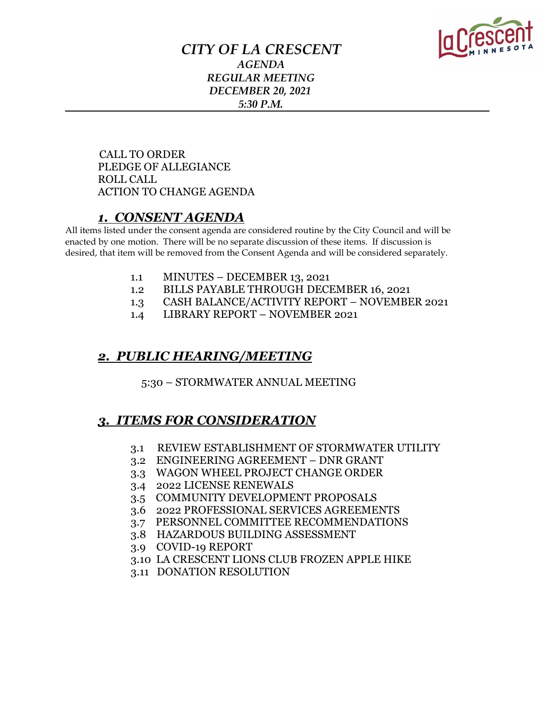

### *CITY OF LA CRESCENT AGENDA REGULAR MEETING DECEMBER 20, 2021 5:30 P.M.*

 CALL TO ORDER PLEDGE OF ALLEGIANCE ROLL CALL ACTION TO CHANGE AGENDA

### *1. CONSENT AGENDA*

All items listed under the consent agenda are considered routine by the City Council and will be enacted by one motion. There will be no separate discussion of these items. If discussion is desired, that item will be removed from the Consent Agenda and will be considered separately.

- 1.1 MINUTES DECEMBER 13, 2021
- 1.2 BILLS PAYABLE THROUGH DECEMBER 16, 2021
- 1.3 CASH BALANCE/ACTIVITY REPORT NOVEMBER 2021
- 1.4 LIBRARY REPORT NOVEMBER 2021

#### *2. PUBLIC HEARING/MEETING*

5:30 – STORMWATER ANNUAL MEETING

### *3. ITEMS FOR CONSIDERATION*

- 3.1 REVIEW ESTABLISHMENT OF STORMWATER UTILITY
- 3.2 ENGINEERING AGREEMENT DNR GRANT
- 3.3 WAGON WHEEL PROJECT CHANGE ORDER
- 3.4 2022 LICENSE RENEWALS
- 3.5 COMMUNITY DEVELOPMENT PROPOSALS
- 3.6 2022 PROFESSIONAL SERVICES AGREEMENTS
- 3.7 PERSONNEL COMMITTEE RECOMMENDATIONS
- 3.8 HAZARDOUS BUILDING ASSESSMENT
- 3.9 COVID-19 REPORT
- 3.10 LA CRESCENT LIONS CLUB FROZEN APPLE HIKE
- 3.11 DONATION RESOLUTION